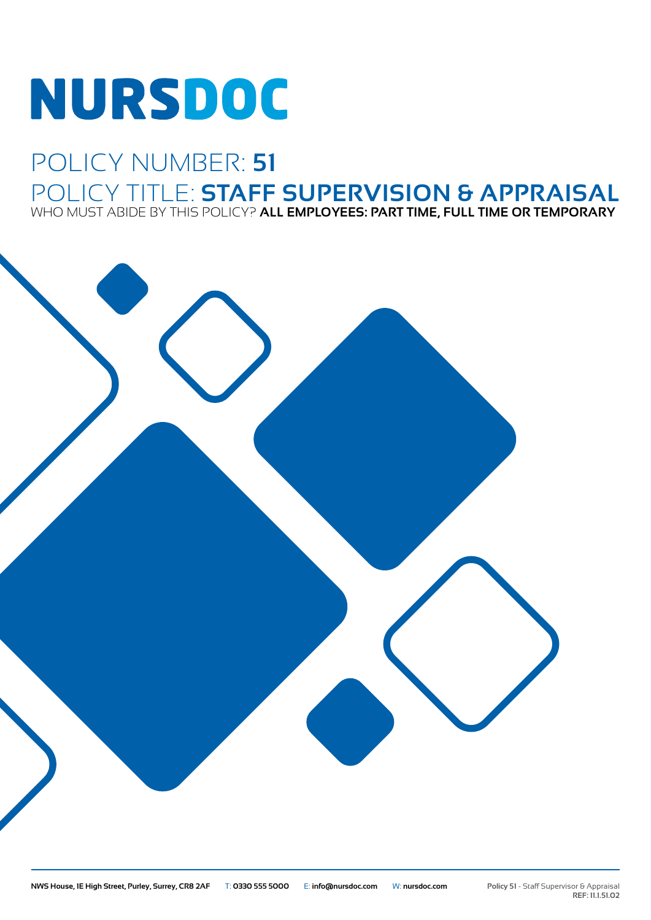# **NURSDOC**

## POLICY NUMBER: **51** POLICY TITLE: **STAFF SUPERVISION & APPRAISAL** WHO MUST ABIDE BY THIS POLICY? **ALL EMPLOYEES: PART TIME, FULL TIME OR TEMPORARY**